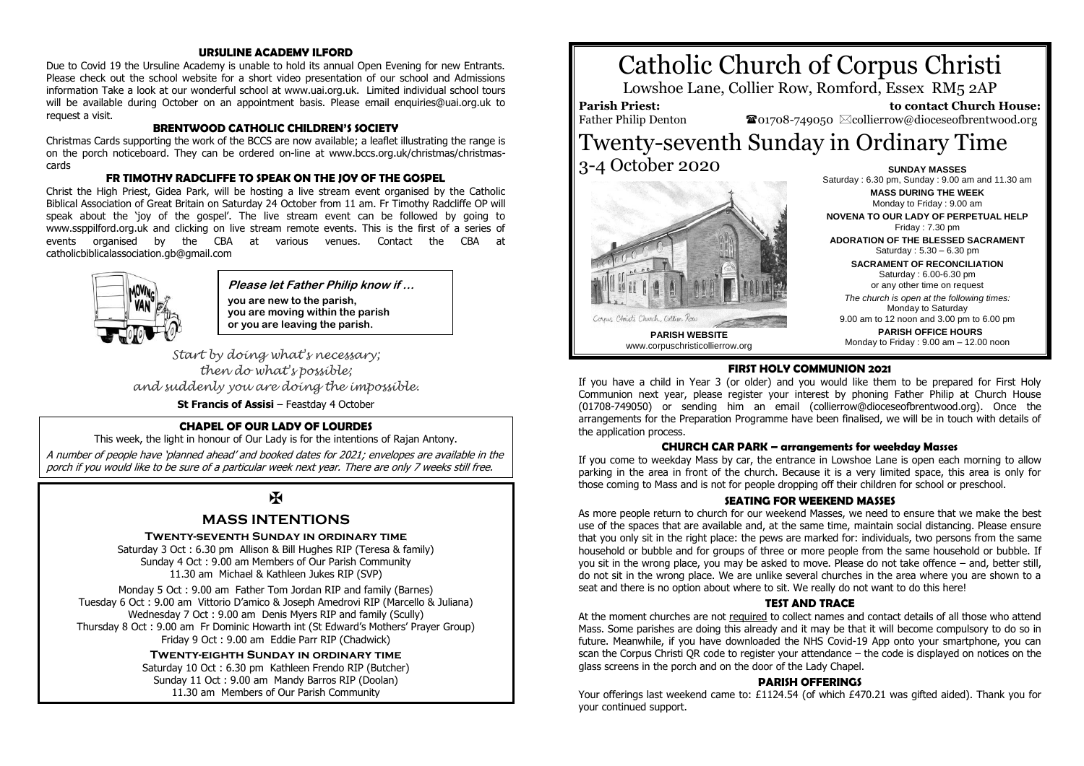## **URSULINE ACADEMY ILFORD**

Due to Covid 19 the Ursuline Academy is unable to hold its annual Open Evening for new Entrants. Please check out the school website for a short video presentation of our school and Admissions information Take a look at our wonderful school at www.uai.org.uk. Limited individual school tours will be available during October on an appointment basis. Please email enquiries@uai.org.uk to request a visit.

## **BRENTWOOD CATHOLIC CHILDREN'S SOCIETY**

Christmas Cards supporting the work of the BCCS are now available; a leaflet illustrating the range is on the porch noticeboard. They can be ordered on-line at www.bccs.org.uk/christmas/christmascards

## **FR TIMOTHY RADCLIFFE TO SPEAK ON THE JOY OF THE GOSPEL**

Christ the High Priest, Gidea Park, will be hosting a live stream event organised by the Catholic Biblical Association of Great Britain on Saturday 24 October from 11 am. Fr Timothy Radcliffe OP will speak about the 'joy of the gospel'. The live stream event can be followed by going to www.ssppilford.org.uk and clicking on live stream remote events. This is the first of a series of events organised by the CBA at various venues. Contact the CBA at catholicbiblicalassociation.gb@gmail.com



**Please let Father Philip know if … you are new to the parish, you are moving within the parish or you are leaving the parish.**

*Start by doing what's necessary; then do what's possible; and suddenly you are doing the impossible.*

**St Francis of Assisi** – Feastday 4 October

#### **CHAPEL OF OUR LADY OF LOURDES**

This week, the light in honour of Our Lady is for the intentions of Rajan Antony.

A number of people have 'planned ahead' and booked dates for 2021; envelopes are available in the porch if you would like to be sure of a particular week next year. There are only 7 weeks still free.

# $\overline{\mathbf{R}}$

## **MASS INTENTIONS**

#### **Twenty-seventh Sunday in ordinary time**

Saturday 3 Oct : 6.30 pm Allison & Bill Hughes RIP (Teresa & family) Sunday 4 Oct : 9.00 am Members of Our Parish Community 11.30 am Michael & Kathleen Jukes RIP (SVP)

Monday 5 Oct : 9.00 am Father Tom Jordan RIP and family (Barnes) Tuesday 6 Oct : 9.00 am Vittorio D'amico & Joseph Amedrovi RIP (Marcello & Juliana) Wednesday 7 Oct : 9.00 am Denis Myers RIP and family (Scully) Thursday 8 Oct : 9.00 am Fr Dominic Howarth int (St Edward's Mothers' Prayer Group) Friday 9 Oct : 9.00 am Eddie Parr RIP (Chadwick)

#### **Twenty-eighth Sunday in ordinary time**

Saturday 10 Oct : 6.30 pm Kathleen Frendo RIP (Butcher) Sunday 11 Oct : 9.00 am Mandy Barros RIP (Doolan) 11.30 am Members of Our Parish Community





Monday to Friday : 9.00 am **NOVENA TO OUR LADY OF PERPETUAL HELP** Friday : 7.30 pm **ADORATION OF THE BLESSED SACRAMENT** Saturday : 5.30 – 6.30 pm **SACRAMENT OF RECONCILIATION** Saturday : 6.00-6.30 pm or any other time on request *The church is open at the following times:* Monday to Saturday

9.00 am to 12 noon and 3.00 pm to 6.00 pm **PARISH OFFICE HOURS** Monday to Friday : 9.00 am – 12.00 noon

#### **FIRST HOLY COMMUNION 2021**

If you have a child in Year 3 (or older) and you would like them to be prepared for First Holy Communion next year, please register your interest by phoning Father Philip at Church House (01708-749050) or sending him an email (collierrow@dioceseofbrentwood.org). Once the arrangements for the Preparation Programme have been finalised, we will be in touch with details of the application process.

#### **CHURCH CAR PARK – arrangements for weekday Masses**

If you come to weekday Mass by car, the entrance in Lowshoe Lane is open each morning to allow parking in the area in front of the church. Because it is a very limited space, this area is only for those coming to Mass and is not for people dropping off their children for school or preschool.

#### **SEATING FOR WEEKEND MASSES**

As more people return to church for our weekend Masses, we need to ensure that we make the best use of the spaces that are available and, at the same time, maintain social distancing. Please ensure that you only sit in the right place: the pews are marked for: individuals, two persons from the same household or bubble and for groups of three or more people from the same household or bubble. If you sit in the wrong place, you may be asked to move. Please do not take offence – and, better still, do not sit in the wrong place. We are unlike several churches in the area where you are shown to a seat and there is no option about where to sit. We really do not want to do this here!

#### **TEST AND TRACE**

At the moment churches are not required to collect names and contact details of all those who attend Mass. Some parishes are doing this already and it may be that it will become compulsory to do so in future. Meanwhile, if you have downloaded the NHS Covid-19 App onto your smartphone, you can scan the Corpus Christi QR code to register your attendance – the code is displayed on notices on the glass screens in the porch and on the door of the Lady Chapel.

#### **PARISH OFFERINGS**

Your offerings last weekend came to: £1124.54 (of which £470.21 was gifted aided). Thank you for your continued support.